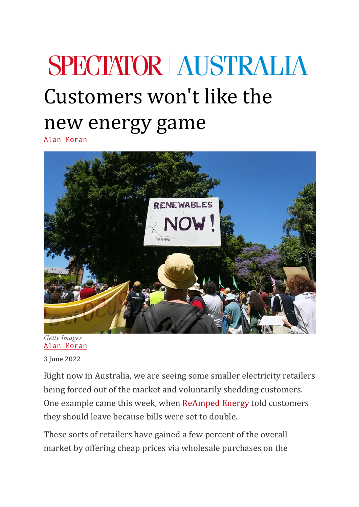## **SPECTATOR AUSTRALIA** Customers won't like the new energy game

Alan Moran



*Getty Images* Alan Moran 3 June 2022

Right now in Australia, we are seeing some smaller electricity retailers being forced out of the market and voluntarily shedding customers. One example came this week, when ReAmped Energy told customers they should leave because bills were set to double.

These sorts of retailers have gained a few percent of the overall market by offering cheap prices via wholesale purchases on the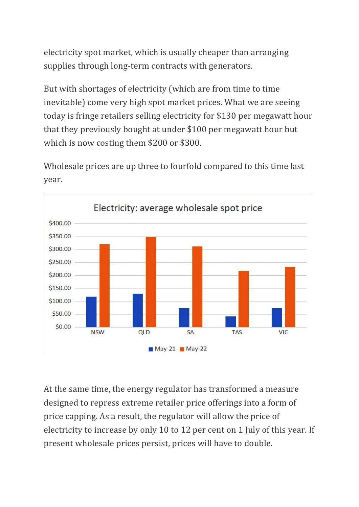electricity spot market, which is usually cheaper than arranging supplies through long-term contracts with generators.

But with shortages of electricity (which are from time to time inevitable) come very high spot market prices. What we are seeing today is fringe retailers selling electricity for \$130 per megawatt hour that they previously bought at under \$100 per megawatt hour but which is now costing them  $$200$  or  $$300$ .

Wholesale prices are up three to fourfold compared to this time last year.



At the same time, the energy regulator has transformed a measure designed to repress extreme retailer price offerings into a form of price capping. As a result, the regulator will allow the price of electricity to increase by only 10 to 12 per cent on 1 July of this year. If present wholesale prices persist, prices will have to double.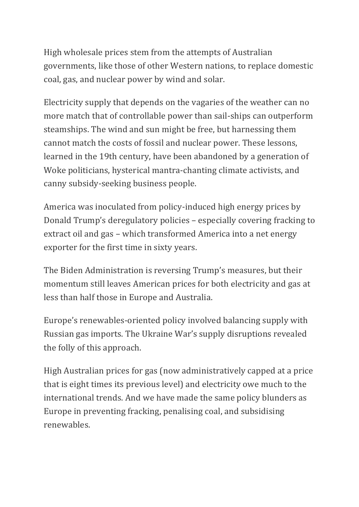High wholesale prices stem from the attempts of Australian governments, like those of other Western nations, to replace domestic coal, gas, and nuclear power by wind and solar.

Electricity supply that depends on the vagaries of the weather can no more match that of controllable power than sail-ships can outperform steamships. The wind and sun might be free, but harnessing them cannot match the costs of fossil and nuclear power. These lessons, learned in the 19th century, have been abandoned by a generation of Woke politicians, hysterical mantra-chanting climate activists, and canny subsidy-seeking business people.

America was inoculated from policy-induced high energy prices by Donald Trump's deregulatory policies – especially covering fracking to extract oil and gas – which transformed America into a net energy exporter for the first time in sixty years.

The Biden Administration is reversing Trump's measures, but their momentum still leaves American prices for both electricity and gas at less than half those in Europe and Australia.

Europe's renewables-oriented policy involved balancing supply with Russian gas imports. The Ukraine War's supply disruptions revealed the folly of this approach.

High Australian prices for gas (now administratively capped at a price that is eight times its previous level) and electricity owe much to the international trends. And we have made the same policy blunders as Europe in preventing fracking, penalising coal, and subsidising renewables.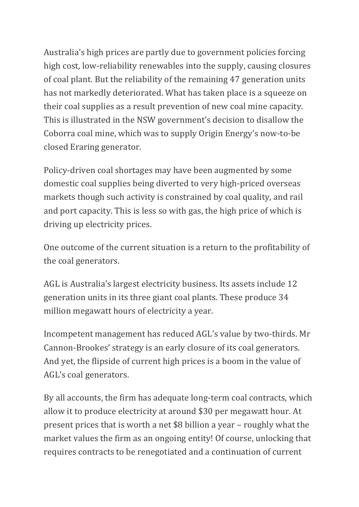Australia's high prices are partly due to government policies forcing high cost, low-reliability renewables into the supply, causing closures of coal plant. But the reliability of the remaining 47 generation units has not markedly deteriorated. What has taken place is a squeeze on their coal supplies as a result prevention of new coal mine capacity. This is illustrated in the NSW government's decision to disallow the Coborra coal mine, which was to supply Origin Energy's now-to-be closed Eraring generator.

Policy-driven coal shortages may have been augmented by some domestic coal supplies being diverted to very high-priced overseas markets though such activity is constrained by coal quality, and rail and port capacity. This is less so with gas, the high price of which is driving up electricity prices.

One outcome of the current situation is a return to the profitability of the coal generators.

AGL is Australia's largest electricity business. Its assets include 12 generation units in its three giant coal plants. These produce 34 million megawatt hours of electricity a year.

Incompetent management has reduced AGL's value by two-thirds. Mr Cannon-Brookes' strategy is an early closure of its coal generators. And yet, the flipside of current high prices is a boom in the value of AGL's coal generators.

By all accounts, the firm has adequate long-term coal contracts, which allow it to produce electricity at around \$30 per megawatt hour. At present prices that is worth a net  $$8$  billion a year – roughly what the market values the firm as an ongoing entity! Of course, unlocking that requires contracts to be renegotiated and a continuation of current